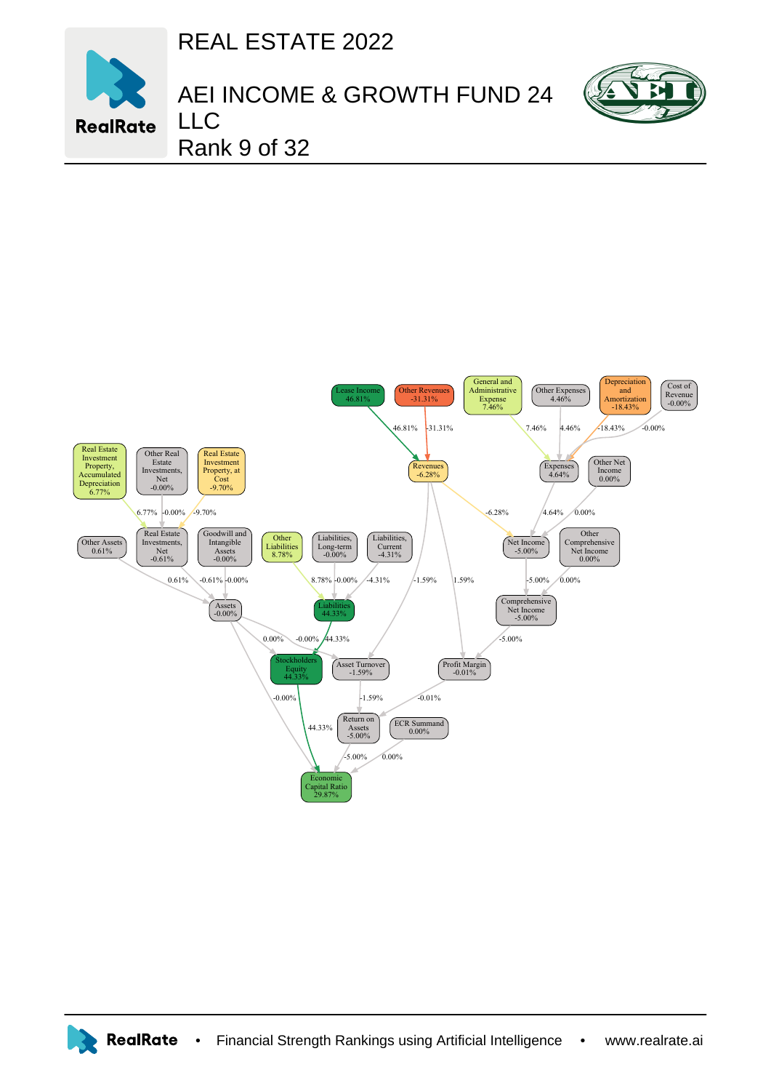REAL ESTATE 2022